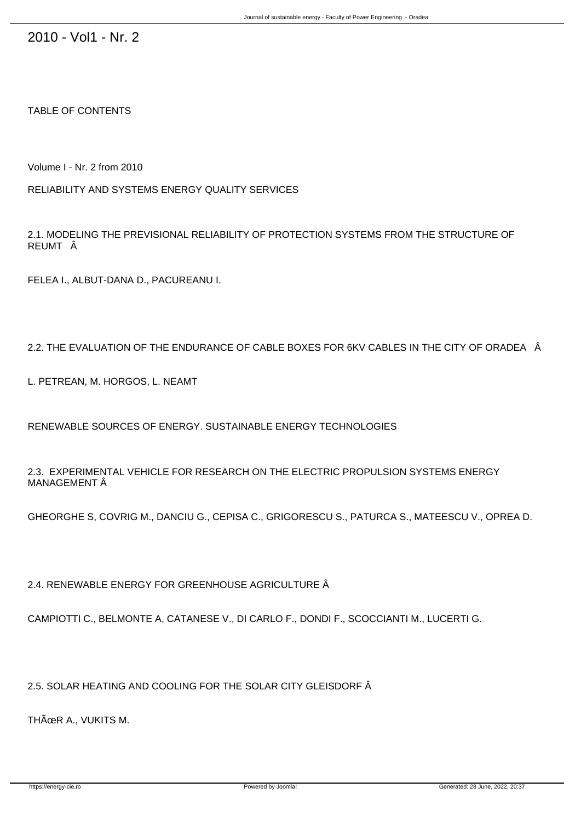2010 - Vol1 - Nr. 2

TABLE OF CONTENTS

Volume I - Nr. 2 from 2010

RELIABILITY AND SYSTEMS ENERGY QUALITY SERVICES

2.1. MODELING THE PREVISIONAL RELIABILITY OF PROTECTION SYSTEMS FROM THE STRUCTURE OF REUMT Â

FELEA I., ALBUT-DANA D., PACUREANU I.

2.2. THE EVALUATION OF THE ENDURANCE OF CABLE BOXES FOR 6KV CABLES IN THE CITY OF ORADEA Â

L. PETREAN, M. HORGOS, L. NEAMT

RENEWABLE SOURCES OF ENERGY. SUSTAINABLE ENERGY TECHNOLOGIES

2.3. EXPERIMENTAL VEHICLE FOR RESEARCH ON THE ELECTRIC PROPULSION SYSTEMS ENERGY MANAGEMENT Â

GHEORGHE S, COVRIG M., DANCIU G., CEPISA C., GRIGORESCU S., PATURCA S., MATEESCU V., OPREA D.

2.4. RENEWABLE ENERGY FOR GREENHOUSE AGRICULTURE  $\hat{A}$ 

CAMPIOTTI C., BELMONTE A, CATANESE V., DI CARLO F., DONDI F., SCOCCIANTI M., LUCERTI G.

2.5. SOLAR HEATING AND COOLING FOR THE SOLAR CITY GLEISDORF  $\hat{A}$ 

THÜR A., VUKITS M.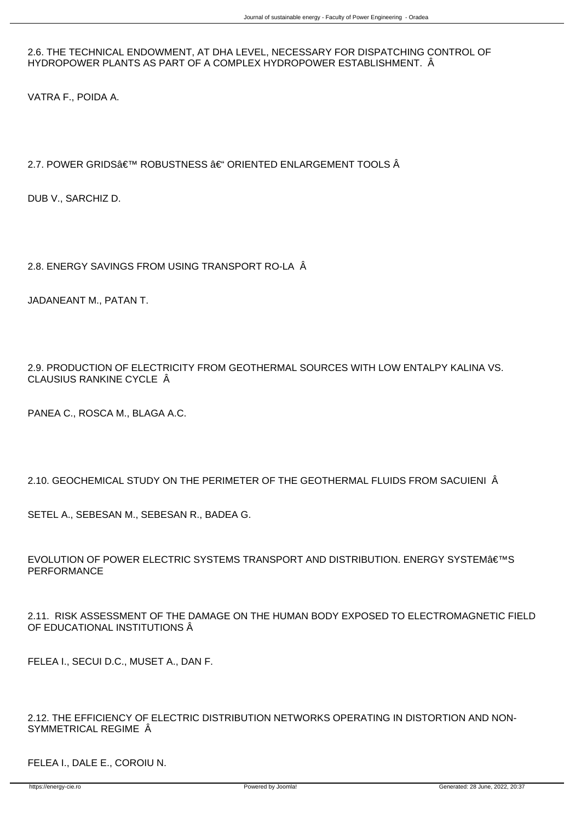2.6. THE TECHNICAL ENDOWMENT, AT DHA LEVEL, NECESSARY FOR DISPATCHING CONTROL OF HYDROPOWER PLANTS AS PART OF A COMPLEX HYDROPOWER ESTABLISHMENT. Â

VATRA F., POIDA A.

## 2.7. POWER GRIDS' ROBUSTNESS – ORIENTED ENLARGEMENT TOOLS Â

DUB V., SARCHIZ D.

2.8. ENERGY SAVINGS FROM USING TRANSPORT RO-LA Â

JADANEANT M., PATAN T.

2.9. PRODUCTION OF ELECTRICITY FROM GEOTHERMAL SOURCES WITH LOW ENTALPY KALINA VS. CLAUSIUS RANKINE CYCLE Â

PANEA C., ROSCA M., BLAGA A.C.

2.10. GEOCHEMICAL STUDY ON THE PERIMETER OF THE GEOTHERMAL FLUIDS FROM SACUIENI Â

SETEL A., SEBESAN M., SEBESAN R., BADEA G.

EVOLUTION OF POWER ELECTRIC SYSTEMS TRANSPORT AND DISTRIBUTION. ENERGY SYSTEM€™S PERFORMANCE

2.11. RISK ASSESSMENT OF THE DAMAGE ON THE HUMAN BODY EXPOSED TO ELECTROMAGNETIC FIELD OF EDUCATIONAL INSTITUTIONS  $\hat{A}$ 

FELEA I., SECUI D.C., MUSET A., DAN F.

2.12. THE EFFICIENCY OF ELECTRIC DISTRIBUTION NETWORKS OPERATING IN DISTORTION AND NON-SYMMETRICAL REGIME  $\hat{A}$ 

FELEA I., DALE E., COROIU N.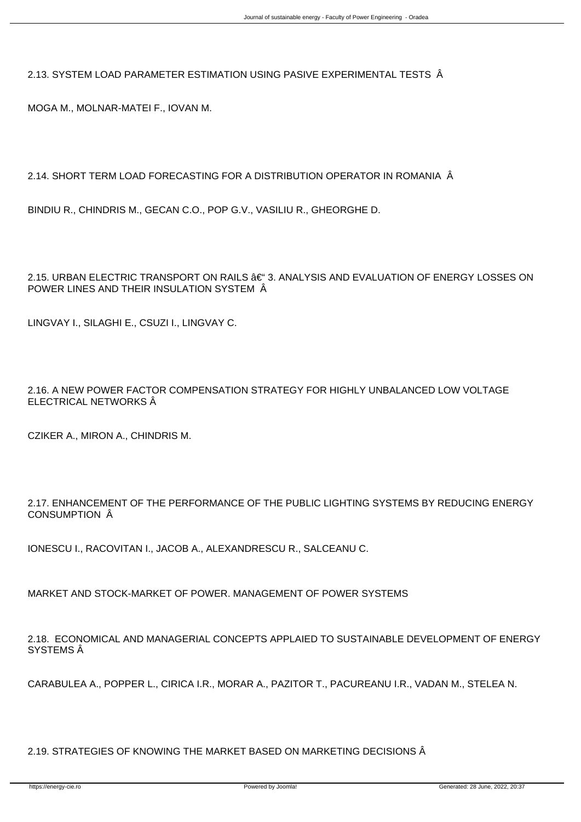2.13. SYSTEM LOAD PARAMETER ESTIMATION USING PASIVE EXPERIMENTAL TESTS Â

MOGA M., MOLNAR-MATEI F., IOVAN M.

2.14. SHORT TERM LOAD FORECASTING FOR A DISTRIBUTION OPERATOR IN ROMANIA Â

BINDIU R., CHINDRIS M., GECAN C.O., POP G.V., VASILIU R., GHEORGHE D.

2.15. URBAN ELECTRIC TRANSPORT ON RAILS – 3. ANALYSIS AND EVALUATION OF ENERGY LOSSES ON POWER LINES AND THEIR INSULATION SYSTEM Â

LINGVAY I., SILAGHI E., CSUZI I., LINGVAY C.

2.16. A NEW POWER FACTOR COMPENSATION STRATEGY FOR HIGHLY UNBALANCED LOW VOLTAGE ELECTRICAL NETWORKS Â

CZIKER A., MIRON A., CHINDRIS M.

2.17. ENHANCEMENT OF THE PERFORMANCE OF THE PUBLIC LIGHTING SYSTEMS BY REDUCING ENERGY CONSUMPTION Â

IONESCU I., RACOVITAN I., JACOB A., ALEXANDRESCU R., SALCEANU C.

MARKET AND STOCK-MARKET OF POWER. MANAGEMENT OF POWER SYSTEMS

2.18. ECONOMICAL AND MANAGERIAL CONCEPTS APPLAIED TO SUSTAINABLE DEVELOPMENT OF ENERGY SYSTEMS Â

CARABULEA A., POPPER L., CIRICA I.R., MORAR A., PAZITOR T., PACUREANU I.R., VADAN M., STELEA N.

2.19. STRATEGIES OF KNOWING THE MARKET BASED ON MARKETING DECISIONS Â